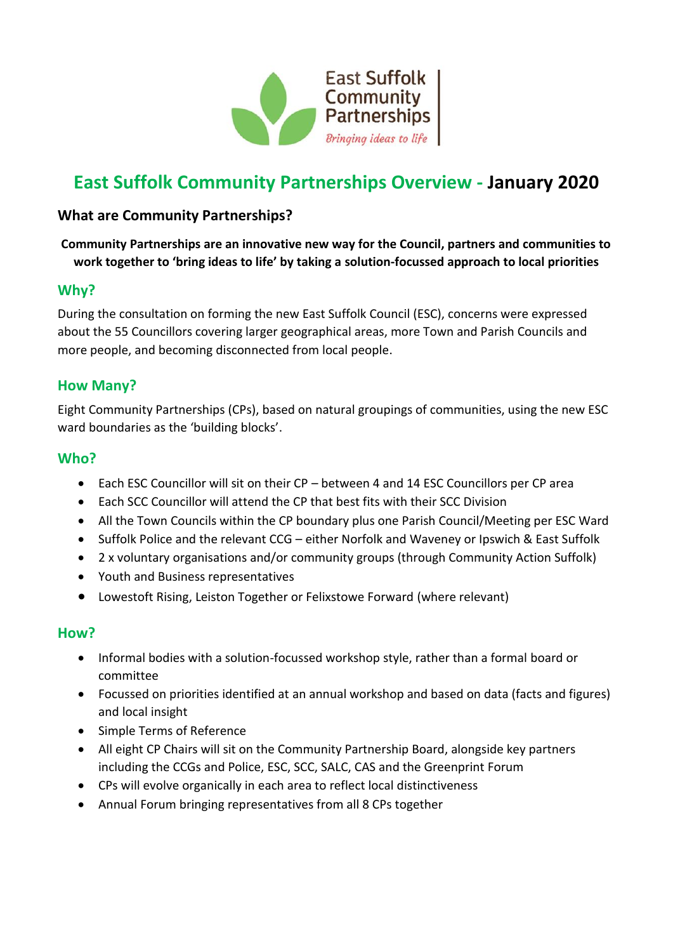

# **East Suffolk Community Partnerships Overview - January 2020**

## **What are Community Partnerships?**

#### **Community Partnerships are an innovative new way for the Council, partners and communities to work together to 'bring ideas to life' by taking a solution-focussed approach to local priorities**

#### **Why?**

During the consultation on forming the new East Suffolk Council (ESC), concerns were expressed about the 55 Councillors covering larger geographical areas, more Town and Parish Councils and more people, and becoming disconnected from local people.

## **How Many?**

Eight Community Partnerships (CPs), based on natural groupings of communities, using the new ESC ward boundaries as the 'building blocks'.

#### **Who?**

- Each ESC Councillor will sit on their CP between 4 and 14 ESC Councillors per CP area
- Each SCC Councillor will attend the CP that best fits with their SCC Division
- All the Town Councils within the CP boundary plus one Parish Council/Meeting per ESC Ward
- Suffolk Police and the relevant CCG either Norfolk and Waveney or Ipswich & East Suffolk
- 2 x voluntary organisations and/or community groups (through Community Action Suffolk)
- Youth and Business representatives
- Lowestoft Rising, Leiston Together or Felixstowe Forward (where relevant)

#### **How?**

- Informal bodies with a solution-focussed workshop style, rather than a formal board or committee
- Focussed on priorities identified at an annual workshop and based on data (facts and figures) and local insight
- Simple Terms of Reference
- All eight CP Chairs will sit on the Community Partnership Board, alongside key partners including the CCGs and Police, ESC, SCC, SALC, CAS and the Greenprint Forum
- CPs will evolve organically in each area to reflect local distinctiveness
- Annual Forum bringing representatives from all 8 CPs together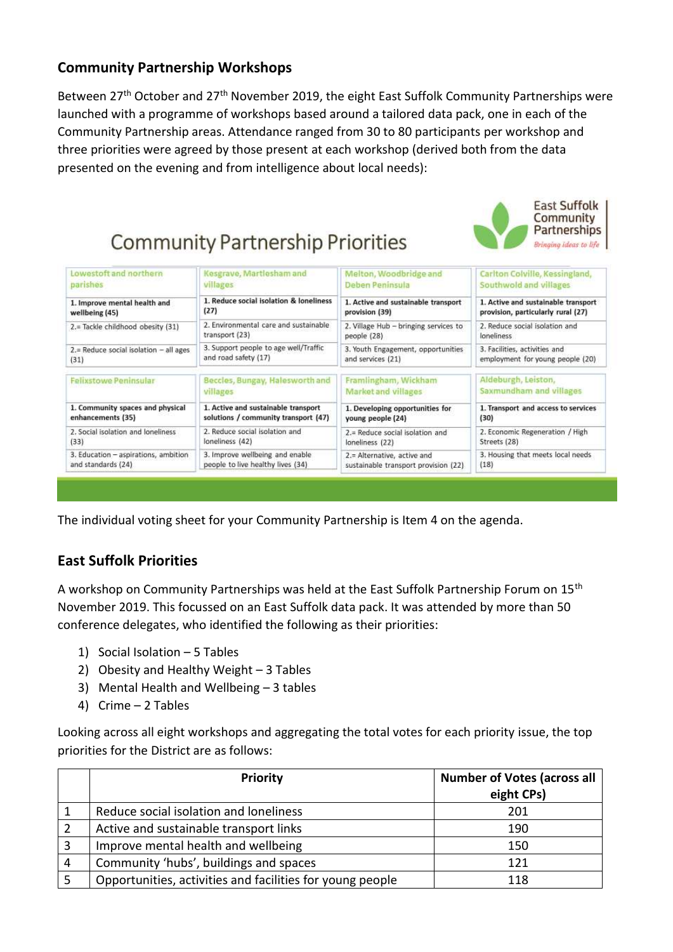## **Community Partnership Workshops**

Between 27<sup>th</sup> October and 27<sup>th</sup> November 2019, the eight East Suffolk Community Partnerships were launched with a programme of workshops based around a tailored data pack, one in each of the Community Partnership areas. Attendance ranged from 30 to 80 participants per workshop and three priorities were agreed by those present at each workshop (derived both from the data presented on the evening and from intelligence about local needs):

> **East Suffolk** Community Partnerships

| Lowestoft and northern                   | Kesgrave, Martlesham and                | Melton, Woodbridge and                | Carlton Colville, Kessingland,      |
|------------------------------------------|-----------------------------------------|---------------------------------------|-------------------------------------|
| parishes                                 | villages                                | Deben Peninsula                       | Southwold and villages              |
| 1. Improve mental health and             | 1. Reduce social isolation & loneliness | 1. Active and sustainable transport   | 1. Active and sustainable transport |
| wellbeing (45)                           | (27)                                    | provision (39)                        | provision, particularly rural (27)  |
| 2.= Tackle childhood obesity (31)        | 2. Environmental care and sustainable   | 2. Village Hub - bringing services to | 2. Reduce social isolation and      |
|                                          | transport (23)                          | people (28)                           | loneliness                          |
| $2 =$ Reduce social isolation - all ages | 3. Support people to age well/Traffic   | 3. Youth Engagement, opportunities    | 3. Facilities, activities and       |
| (31)                                     | and road safety (17)                    | and services (21)                     | employment for young people (20)    |
| <b>Felixstowe Peninsular</b>             | Beccles, Bungay, Halesworth and         | Framlingham, Wickham                  | Aldeburgh, Leiston,                 |
|                                          | villages                                | <b>Market and villages</b>            | Saxmundham and villages             |
| 1. Community spaces and physical         | 1. Active and sustainable transport     | 1. Developing opportunities for       | 1. Transport and access to services |
| enhancements (35)                        | solutions / community transport (47)    | young people (24)                     | (30)                                |
| 2. Social isolation and loneliness       | 2. Reduce social isolation and          | 2.= Reduce social isolation and       | 2. Economic Regeneration / High     |
| (33)                                     | loneliness (42)                         | loneliness (22)                       | Streets (28)                        |
| 3. Education - aspirations, ambition     | 3. Improve wellbeing and enable         | 2.= Alternative, active and           | 3. Housing that meets local needs   |
| and standards (24)                       | people to live healthy lives (34)       | sustainable transport provision (22)  | (18)                                |

The individual voting sheet for your Community Partnership is Item 4 on the agenda.

## **East Suffolk Priorities**

A workshop on Community Partnerships was held at the East Suffolk Partnership Forum on 15th November 2019. This focussed on an East Suffolk data pack. It was attended by more than 50 conference delegates, who identified the following as their priorities:

- 1) Social Isolation 5 Tables
- 2) Obesity and Healthy Weight 3 Tables
- 3) Mental Health and Wellbeing 3 tables
- 4) Crime 2 Tables

Looking across all eight workshops and aggregating the total votes for each priority issue, the top priorities for the District are as follows:

|   | <b>Priority</b>                                           | <b>Number of Votes (across all</b> |
|---|-----------------------------------------------------------|------------------------------------|
|   |                                                           | eight CPs)                         |
|   | Reduce social isolation and loneliness                    | 201                                |
|   | Active and sustainable transport links                    | 190                                |
| 3 | Improve mental health and wellbeing                       | 150                                |
| 4 | Community 'hubs', buildings and spaces                    | 121                                |
|   | Opportunities, activities and facilities for young people | 118                                |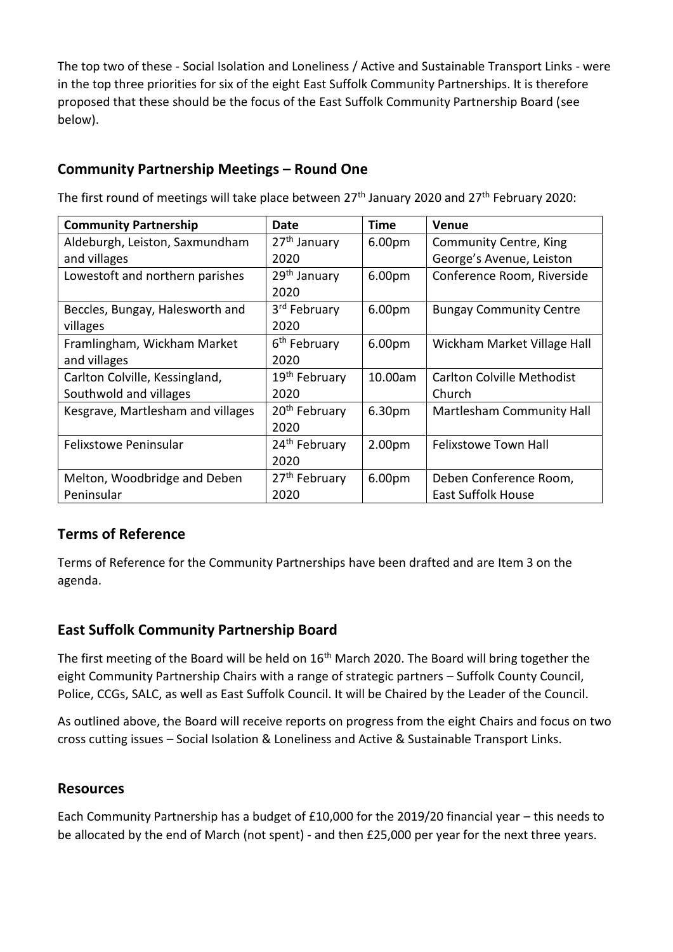The top two of these - Social Isolation and Loneliness / Active and Sustainable Transport Links - were in the top three priorities for six of the eight East Suffolk Community Partnerships. It is therefore proposed that these should be the focus of the East Suffolk Community Partnership Board (see below).

## **Community Partnership Meetings – Round One**

**Community Partnership**  Date | Time | Venue Aldeburgh, Leiston, Saxmundham and villages 27<sup>th</sup> January 2020 6.00pm Community Centre, King George's Avenue, Leiston Lowestoft and northern parishes  $\left|29^{th}$  January 2020 6.00pm | Conference Room, Riverside Beccles, Bungay, Halesworth and villages 3<sup>rd</sup> February 2020 6.00pm | Bungay Community Centre Framlingham, Wickham Market and villages 6<sup>th</sup> February 2020 6.00pm Wickham Market Village Hall Carlton Colville, Kessingland, Southwold and villages 19<sup>th</sup> February 2020 10.00am | Carlton Colville Methodist Church Kesgrave, Martlesham and villages  $\parallel 20^{th}$  February 2020 6.30pm Martlesham Community Hall Felixstowe Peninsular 24<sup>th</sup> February 2020 2.00pm | Felixstowe Town Hall Melton, Woodbridge and Deben Peninsular 27th February 2020 6.00pm Deben Conference Room, East Suffolk House

The first round of meetings will take place between 27<sup>th</sup> January 2020 and 27<sup>th</sup> February 2020:

## **Terms of Reference**

Terms of Reference for the Community Partnerships have been drafted and are Item 3 on the agenda.

## **East Suffolk Community Partnership Board**

The first meeting of the Board will be held on 16<sup>th</sup> March 2020. The Board will bring together the eight Community Partnership Chairs with a range of strategic partners – Suffolk County Council, Police, CCGs, SALC, as well as East Suffolk Council. It will be Chaired by the Leader of the Council.

As outlined above, the Board will receive reports on progress from the eight Chairs and focus on two cross cutting issues – Social Isolation & Loneliness and Active & Sustainable Transport Links.

#### **Resources**

Each Community Partnership has a budget of £10,000 for the 2019/20 financial year – this needs to be allocated by the end of March (not spent) - and then £25,000 per year for the next three years.